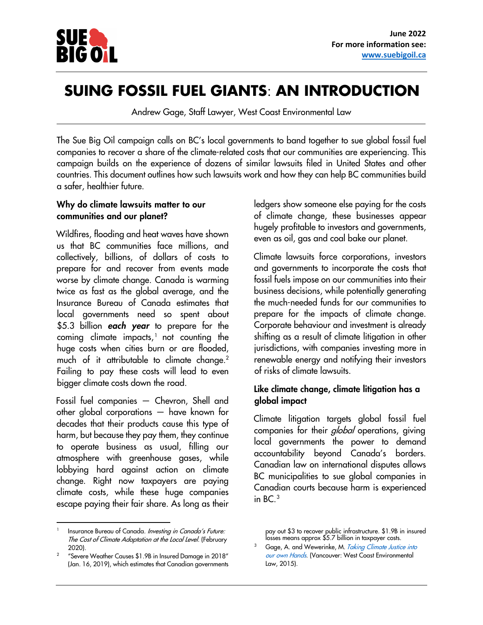

# **SUING FOSSIL FUEL GIANTS**: **AN INTRODUCTION**

Andrew Gage, Staff Lawyer, West Coast Environmental Law

The Sue Big Oil campaign calls on BC's local governments to band together to sue global fossil fuel companies to recover a share of the climate-related costs that our communities are experiencing. This campaign builds on the experience of dozens of similar lawsuits filed in United States and other countries. This document outlines how such lawsuits work and how they can help BC communities build a safer, healthier future.

#### Why do climate lawsuits matter to our communities and our planet?

Wildfires, flooding and heat waves have shown us that BC communities face millions, and collectively, billions, of dollars of costs to prepare for and recover from events made worse by climate change. Canada is warming twice as fast as the global average, and the Insurance Bureau of Canada estimates that local governments need so spent about \$5.3 billion each year to prepare for the coming climate impacts, [1](#page-0-0) not counting the huge costs when cities burn or are flooded, much of it attributable to climate change.<sup>[2](#page-0-1)</sup> Failing to pay these costs will lead to even bigger climate costs down the road.

Fossil fuel companies — Chevron, Shell and other global corporations — have known for decades that their products cause this type of harm, but because they pay them, they continue to operate business as usual, filling our atmosphere with greenhouse gases, while lobbying hard against action on climate change. Right now taxpayers are paying climate costs, while these huge companies escape paying their fair share. As long as their

<span id="page-0-2"></span><span id="page-0-0"></span>1 Insurance Bureau of Canada[. Investing in Canada's Future:](https://data.fcm.ca/documents/reports/investing-in-canadas-future-the-cost-of-climate-adaptation.pdf)  [The Cost of Climate Adaptation at the Local Level.](https://data.fcm.ca/documents/reports/investing-in-canadas-future-the-cost-of-climate-adaptation.pdf) (February  $\frac{2020}{\text{Sov}^2}$ 

<span id="page-0-1"></span> ["Severe Weather Causes](http://www.ibc.ca/on/resources/media-centre/media-releases/severe-weather-causes-190-million-in-insured-damage-in-2018) [\\$1.9B in Insured Damage in 2018"](http://www.ibc.ca/on/resources/media-centre/media-releases/severe-weather-causes-190-million-in-insured-damage-in-2018) [\(J](http://www.ibc.ca/on/resources/media-centre/media-releases/severe-weather-causes-190-million-in-insured-damage-in-2018)an. 16, 2019), which estimates that Canadian governments

ledgers show someone else paying for the costs of climate change, these businesses appear hugely profitable to investors and governments, even as oil, gas and coal bake our planet.

Climate lawsuits force corporations, investors and governments to incorporate the costs that fossil fuels impose on our communities into their business decisions, while potentially generating the much-needed funds for our communities to prepare for the impacts of climate change. Corporate behaviour and investment is already shifting as a result of climate litigation in other jurisdictions, with companies investing more in renewable energy and notifying their investors of risks of climate lawsuits.

### Like climate change, climate litigation has a global impact

Climate litigation targets global fossil fuel companies for their *global* operations, giving local governments the power to demand accountability beyond Canada's borders. Canadian law on international disputes allows BC municipalities to sue global companies in Canadian courts because harm is experienced in  $BC.^3$  $BC.^3$ 

pay out \$3 to recover public infrastructure. \$1.9B in insured losses means approx \$5.7 billion in taxpayer costs.

<sup>&</sup>lt;sup>3</sup> Gage, A. and Wewerinke, M. [Taking Climate Justice](https://www.wcel.org/publication/taking-climate-justice-our-own-hands) [into](https://www.wcel.org/publication/taking-climate-justice-our-own-hands) [our own Hands](https://www.wcel.org/publication/taking-climate-justice-our-own-hands). (Vancouver: West Coast Environmental Law, 2015).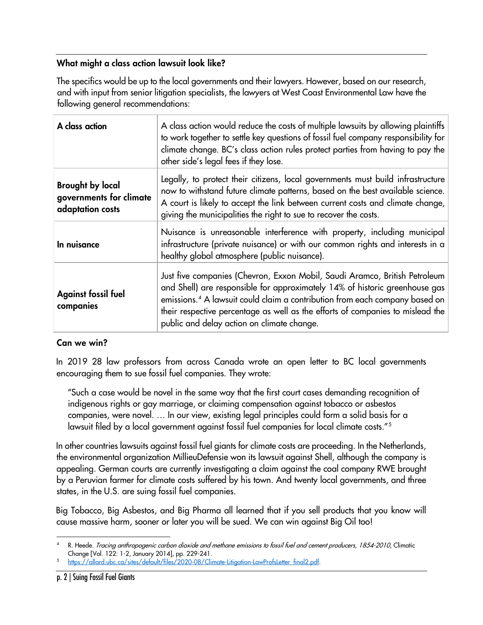# What might a class action lawsuit look like?

The specifics would be up to the local governments and their lawyers. However, based on our research, and with input from senior litigation specialists, the lawyers at West Coast Environmental Law have the following general recommendations:

| A class action                                                         | A class action would reduce the costs of multiple lawsuits by allowing plaintiffs<br>to work together to settle key questions of fossil fuel company responsibility for<br>climate change. BC's class action rules protect parties from having to pay the<br>other side's legal fees if they lose.                                                                                   |
|------------------------------------------------------------------------|--------------------------------------------------------------------------------------------------------------------------------------------------------------------------------------------------------------------------------------------------------------------------------------------------------------------------------------------------------------------------------------|
| <b>Brought by local</b><br>governments for climate<br>adaptation costs | Legally, to protect their citizens, local governments must build infrastructure<br>now to withstand future climate patterns, based on the best available science.<br>A court is likely to accept the link between current costs and climate change,<br>giving the municipalities the right to sue to recover the costs.                                                              |
| In nuisance                                                            | Nuisance is unreasonable interference with property, including municipal<br>infrastructure (private nuisance) or with our common rights and interests in a<br>healthy global atmosphere (public nuisance).                                                                                                                                                                           |
| <b>Against fossil fuel</b><br>companies                                | Just five companies (Chevron, Exxon Mobil, Saudi Aramco, British Petroleum<br>and Shell) are responsible for approximately 14% of historic greenhouse gas<br>emissions. <sup>4</sup> A lawsuit could claim a contribution from each company based on<br>their respective percentage as well as the efforts of companies to mislead the<br>public and delay action on climate change. |

## Can we win?

In 2019 28 law professors from across Canada wrote an open letter to BC local governments encouraging them to sue fossil fuel companies. They wrote:

"Such a case would be novel in the same way that the first court cases demanding recognition of indigenous rights or gay marriage, or claiming compensation against tobacco or asbestos companies, were novel. … In our view, existing legal principles could form a solid basis for a lawsuit filed by a local government against fossil fuel companies for local climate costs."[5](#page-1-1)

In other countries lawsuits against fossil fuel giants for climate costs are proceeding. In the Netherlands, the environmental organization MillieuDefensie won its lawsuit against Shell, although the company is appealing. German courts are currently investigating a claim against the coal company RWE brought by a Peruvian farmer for climate costs suffered by his town. And twenty local governments, and three states, in the U.S. are suing fossil fuel companies.

Big Tobacco, Big Asbestos, and Big Pharma all learned that if you sell products that you know will cause massive harm, sooner or later you will be sued. We can win against Big Oil too!

<span id="page-1-0"></span><sup>4</sup> R. Heede. Tracing anthropogenic carbon dioxide and methane emissions to fossil fuel and cement producers, 1854-2010, Climatic

<span id="page-1-1"></span>Change [Vol. 122: 1-2, January 2014], pp. 229-241.<br><sup>5</sup> https://allard.ubc.ca/sites/default/files/2020-08/Climate-Litigation-LawProfsLetter\_final2.pdf.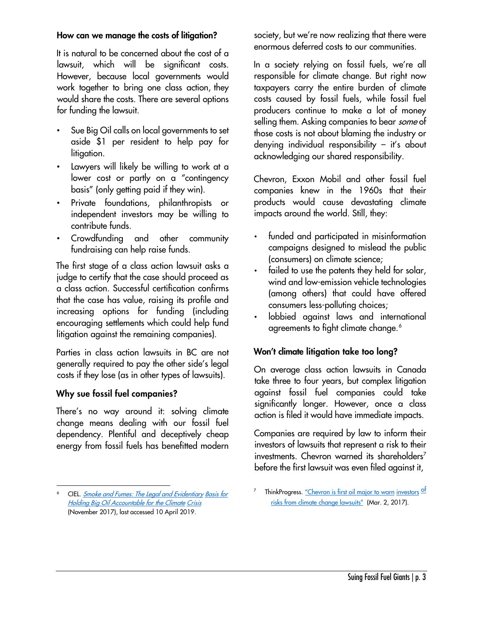#### How can we manage the costs of litigation?

It is natural to be concerned about the cost of a lawsuit, which will be significant costs. However, because local governments would work together to bring one class action, they would share the costs. There are several options for funding the lawsuit.

- Sue Big Oil calls on local governments to set aside \$1 per resident to help pay for litigation.
- Lawyers will likely be willing to work at a lower cost or partly on a "contingency basis" (only getting paid if they win).
- Private foundations, philanthropists or independent investors may be willing to contribute funds.
- Crowdfunding and other community fundraising can help raise funds.

The first stage of a class action lawsuit asks a judge to certify that the case should proceed as a class action. Successful certification confirms that the case has value, raising its profile and increasing options for funding (including encouraging settlements which could help fund litigation against the remaining companies).

Parties in class action lawsuits in BC are not generally required to pay the other side's legal costs if they lose (as in other types of lawsuits).

### Why sue fossil fuel companies?

There's no way around it: solving climate change means dealing with our fossil fuel dependency. Plentiful and deceptively cheap energy from fossil fuels has benefitted modern society, but we're now realizing that there were enormous deferred costs to our communities.

In a society relying on fossil fuels, we're all responsible for climate change. But right now taxpayers carry the entire burden of climate costs caused by fossil fuels, while fossil fuel producers continue to make a lot of money selling them. Asking companies to bear *some* of those costs is not about blaming the industry or denying individual responsibility – it's about acknowledging our shared responsibility.

Chevron, Exxon Mobil and other fossil fuel companies knew in the 1960s that their products would cause devastating climate impacts around the world. Still, they:

- funded and participated in misinformation campaigns designed to mislead the public (consumers) on climate science;
- failed to use the patents they held for solar, wind and low-emission vehicle technologies (among others) that could have offered consumers less-polluting choices;
- lobbied against laws and international agreements to fight climate change.<sup>[6](#page-2-0)</sup>

### Won't climate litigation take too long?

On average class action lawsuits in Canada take three to four years, but complex litigation against fossil fuel companies could take significantly longer. However, once a class action is filed it would have immediate impacts.

Companies are required by law to inform their investors of lawsuits that represent a risk to their investments. Chevron warned its shareholders<sup>[7](#page-2-0)</sup> before the first lawsuit was even filed against it,

<span id="page-2-0"></span><sup>6</sup> CIE[L.](https://www.ciel.org/reports/smoke-and-fumes/) [Smoke and Fumes: The Legal and Evidentiary](https://www.ciel.org/reports/smoke-and-fumes/) [Basis for](https://www.ciel.org/reports/smoke-and-fumes/)  [Holding Big Oil Accountable for the Climate](https://www.ciel.org/reports/smoke-and-fumes/) [Crisis](https://www.ciel.org/reports/smoke-and-fumes/) [\(N](https://www.ciel.org/reports/smoke-and-fumes/)ovember 2017), last accessed 10 April 2019.

<sup>&</sup>lt;sup>7</sup> ThinkProgres[s.](https://thinkprogress.org/chevron-admits-climate-lawsuits-threaten-profits-33937dd562fd/) ["Chevron is first oil](https://thinkprogress.org/chevron-admits-climate-lawsuits-threaten-profits-33937dd562fd/) major to wa[rn](https://thinkprogress.org/chevron-admits-climate-lawsuits-threaten-profits-33937dd562fd/) [investors](https://thinkprogress.org/chevron-admits-climate-lawsuits-threaten-profits-33937dd562fd/) of risks [from climate](https://thinkprogress.org/chevron-admits-climate-lawsuits-threaten-profits-33937dd562fd/) change lawsuit[s"](https://thinkprogress.org/chevron-admits-climate-lawsuits-threaten-profits-33937dd562fd/) (Mar. 2, 2017).